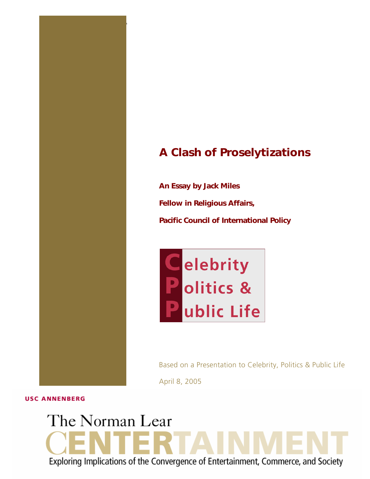# *A Clash of Proselytizations*

*An Essay by Jack Miles Fellow in Religious Affairs, Pacific Council of International Policy* 

1 THE NORMAN LEAR CENTER **"The Politi cs of Media, Technology & Culture"**



Based on a Presentation to Celebrity, Politics & Public Life April 8, 2005

**USC ANNENBERG** 

# The Norman Lear Exploring Implications of the Convergence of Entertainment, Commerce, and Society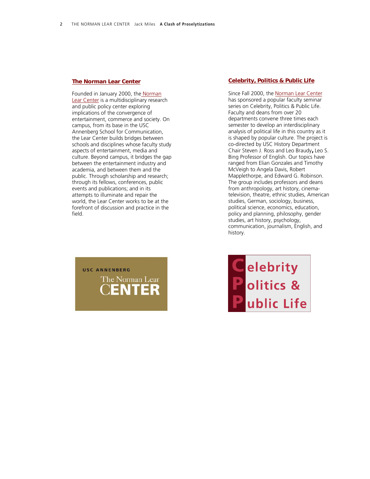#### *[The Norman Lear Center](http://www.learcenter.org/)*

Founded in January 2000, the [Norman](http://learcenter.org/html/home/?hp=1031775414)  [Lear Center](http://learcenter.org/html/home/?hp=1031775414) is a multidisciplinary research and public policy center exploring implications of the convergence of entertainment, commerce and society. On campus, from its base in the USC Annenberg School for Communication, the Lear Center builds bridges between schools and disciplines whose faculty study aspects of entertainment, media and culture. Beyond campus, it bridges the gap between the entertainment industry and academia, and between them and the public. Through scholarship and research; through its fellows, conferences, public events and publications; and in its attempts to illuminate and repair the world, the Lear Center works to be at the forefront of discussion and practice in the field.



#### *[Celebrity, Politics & Public Life](http://www.learcenter.org/html/projects/?cm=cpp)*

Since Fall 2000, the [Norman Lear Center](http://learcenter.org/html/home/?hp=1031775414) has sponsored a popular faculty seminar series on Celebrity, Politics & Public Life. Faculty and deans from over 20 departments convene three times each semester to develop an interdisciplinary analysis of political life in this country as it is shaped by popular culture. The project is co-directed by USC History Department Chair Steven J. Ross and Leo Braudy*,* Leo S. Bing Professor of English. Our topics have ranged from Elian Gonzales and Timothy McVeigh to Angela Davis, Robert Mapplethorpe, and Edward G. Robinson. The group includes professors and deans from anthropology, art history, cinematelevision, theatre, ethnic studies, American studies, German, sociology, business, political science, economics, education, policy and planning, philosophy, gender studies, art history, psychology, communication, journalism, English, and history.

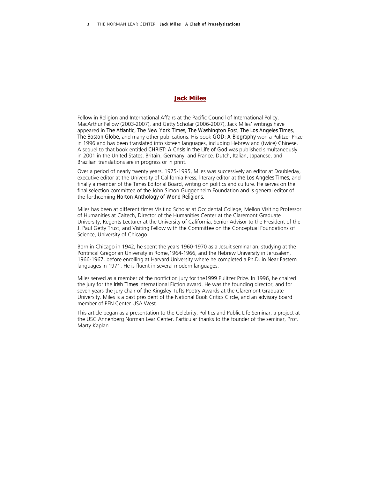#### *Jack Miles*

Fellow in Religion and International Affairs at the Pacific Council of International Policy, MacArthur Fellow (2003-2007), and Getty Scholar (2006-2007), Jack Miles' writings have appeared in *The Atlantic, The New York Times, The Washington Post, The Los Angeles Times, The Boston Globe*, and many other publications. His book *GOD: A Biography* won a Pulitzer Prize in 1996 and has been translated into sixteen languages, including Hebrew and (twice) Chinese. A sequel to that book entitled *CHRIST: A Crisis in the Life of God* was published simultaneously in 2001 in the United States, Britain, Germany, and France. Dutch, Italian, Japanese, and Brazilian translations are in progress or in print.

Over a period of nearly twenty years, 1975-1995, Miles was successively an editor at Doubleday, executive editor at the University of California Press, literary editor at *the Los Angeles Times*, and finally a member of the Times Editorial Board, writing on politics and culture. He serves on the final selection committee of the John Simon Guggenheim Foundation and is general editor of the forthcoming *Norton Anthology of World Religions.*

Miles has been at different times Visiting Scholar at Occidental College, Mellon Visiting Professor of Humanities at Caltech, Director of the Humanities Center at the Claremont Graduate University, Regents Lecturer at the University of California, Senior Advisor to the President of the J. Paul Getty Trust, and Visiting Fellow with the Committee on the Conceptual Foundations of Science, University of Chicago.

Born in Chicago in 1942, he spent the years 1960-1970 as a Jesuit seminarian, studying at the Pontifical Gregorian University in Rome,1964-1966, and the Hebrew University in Jerusalem, 1966-1967, before enrolling at Harvard University where he completed a Ph.D. in Near Eastern languages in 1971. He is fluent in several modern languages.

Miles served as a member of the nonfiction jury for the1999 Pulitzer Prize. In 1996, he chaired the jury for the *Irish Times* International Fiction award. He was the founding director, and for seven years the jury chair of the Kingsley Tufts Poetry Awards at the Claremont Graduate University. Miles is a past president of the National Book Critics Circle, and an advisory board member of PEN Center USA West.

This article began as a presentation to the Celebrity, Politics and Public Life Seminar, a project at the USC Annenberg Norman Lear Center. Particular thanks to the founder of the seminar, Prof. Marty Kaplan.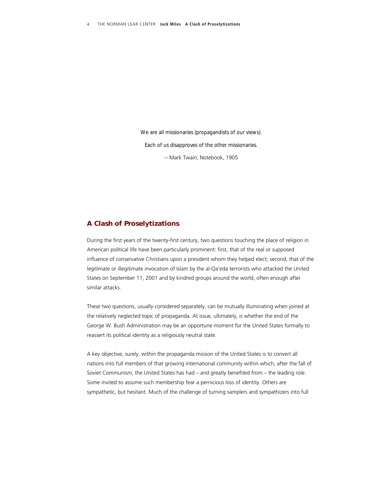*We are all missionaries (propagandists of our views). Each of us disapproves of the other missionaries.*  -- Mark Twain, Notebook, 1905

#### *A Clash of Proselytizations*

During the first years of the twenty-first century, two questions touching the place of religion in American political life have been particularly prominent: first, that of the real or supposed influence of conservative Christians upon a president whom they helped elect; second, that of the legitimate or illegitimate invocation of Islam by the al-Qa'eda terrorists who attacked the United States on September 11, 2001 and by kindred groups around the world, often enough after similar attacks.

These two questions, usually considered separately, can be mutually illuminating when joined at the relatively neglected topic of propaganda. At issue, ultimately, is whether the end of the George W. Bush Administration may be an opportune moment for the United States formally to reassert its political identity as a religiously neutral state.

A key objective, surely, within the propaganda mission of the United States is to convert all nations into full members of that growing international community within which, after the fall of Soviet Communism, the United States has had – and greatly benefited from – the leading role. Some invited to assume such membership fear a pernicious loss of identity. Others are sympathetic, but hesitant. Much of the challenge of turning samplers and sympathizers into full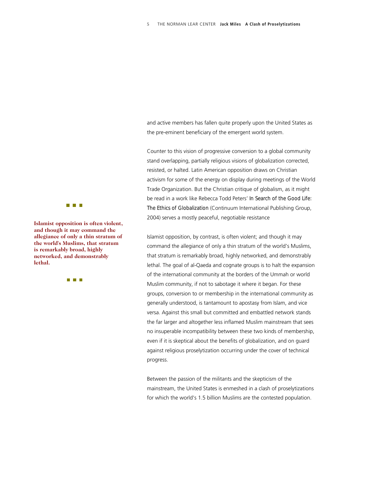and active members has fallen quite properly upon the United States as the pre-eminent beneficiary of the emergent world system.

Counter to this vision of progressive conversion to a global community stand overlapping, partially religious visions of globalization corrected, resisted, or halted. Latin American opposition draws on Christian activism for some of the energy on display during meetings of the World Trade Organization. But the Christian critique of globalism, as it might be read in a work like Rebecca Todd Peters' *In Search of the Good Life: The Ethics of Globalization* (Continuum International Publishing Group, 2004) serves a mostly peaceful, negotiable resistance

Islamist opposition, by contrast, is often violent; and though it may command the allegiance of only a thin stratum of the world's Muslims, that stratum is remarkably broad, highly networked, and demonstrably lethal. The goal of al-Qaeda and cognate groups is to halt the expansion of the international community at the borders of the Ummah or world Muslim community, if not to sabotage it where it began. For these groups, conversion to or membership in the international community as generally understood, is tantamount to apostasy from Islam, and vice versa. Against this small but committed and embattled network stands the far larger and altogether less inflamed Muslim mainstream that sees no insuperable incompatibility between these two kinds of membership, even if it is skeptical about the benefits of globalization, and on guard against religious proselytization occurring under the cover of technical progress.

Between the passion of the militants and the skepticism of the mainstream, the United States is enmeshed in a clash of proselytizations for which the world's 1.5 billion Muslims are the contested population.



**Islamist opposition is often violent, and though it may command the allegiance of only a thin stratum of the world's Muslims, that stratum is remarkably broad, highly networked, and demonstrab ly lethal.** 

 $\Box$   $\Box$   $\Box$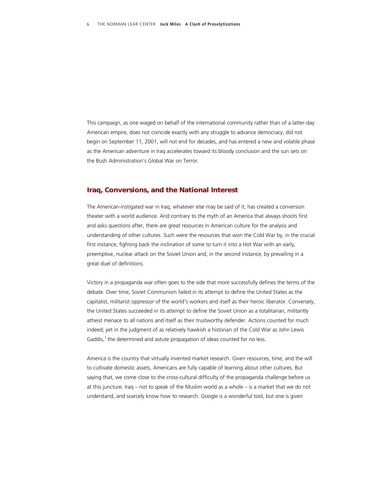This campaign, as one waged on behalf of the international community rather than of a latter-day American empire, does not coincide exactly with any struggle to advance democracy, did not begin on September 11, 2001, will not end for decades, and has entered a new and volatile phase as the American adventure in Iraq accelerates toward its bloody conclusion and the sun sets on the Bush Administration's Global War on Terror.

#### *Iraq, Conversions, and the National Interest*

The American-instigated war in Iraq, whatever else may be said of it, has created a conversion theater with a world audience. And contrary to the myth of an America that always shoots first and asks questions after, there are great resources in American culture for the analysis and understanding of other cultures. Such were the resources that won the Cold War by, in the crucial first instance, fighting back the inclination of some to turn it into a Hot War with an early, preemptive, nuclear attack on the Soviet Union and, in the second instance, by prevailing in a great duel of definitions.

Victory in a propaganda war often goes to the side that more successfully defines the terms of the debate. Over time, Soviet Communism failed in its attempt to define the United States as the capitalist, militarist oppressor of the world's workers and itself as their heroic liberator. Conversely, the United States succeeded in its attempt to define the Soviet Union as a totalitarian, militantly atheist menace to all nations and itself as their trustworthy defender. Actions counted for much indeed; yet in the judgment of as relatively hawkish a historian of the Cold War as John Lewis Gaddis,<sup>1</sup> the determined and astute propagation of ideas counted for no less.

America is the country that virtually invented market research. Given resources, time, and the will to cultivate domestic assets, Americans are fully capable of learning about other cultures. But saying that, we come close to the cross-cultural difficulty of the propaganda challenge before us at this juncture. Iraq – not to speak of the Muslim world as a whole – is a market that we do not understand, and scarcely know how to research. Google is a wonderful tool, but one is given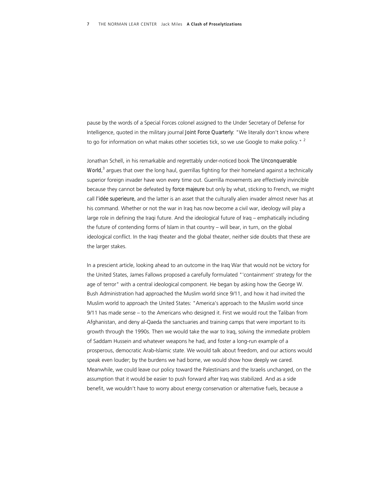pause by the words of a Special Forces colonel assigned to the Under Secretary of Defense for Intelligence, quoted in the military journal *Joint Force Quarterly*: "We literally don't know where to go for information on what makes other societies tick, so we use Google to make policy."  $2$ 

Jonathan Schell, in his remarkable and regrettably under-noticed book *The Unconquerable World,*<sup>3</sup> argues that over the long haul, guerrillas fighting for their homeland against a technically superior foreign invader have won every time out. Guerrilla movements are effectively invincible because they cannot be defeated by *force majeure* but only by what, sticking to French, we might call *l'idée superieure,* and the latter is an asset that the culturally alien invader almost never has at his command. Whether or not the war in Iraq has now become a civil war, ideology will play a large role in defining the Iraqi future. And the ideological future of Iraq – emphatically including the future of contending forms of Islam in that country – will bear, in turn, on the global ideological conflict. In the Iraqi theater and the global theater, neither side doubts that these are the larger stakes.

In a prescient article, looking ahead to an outcome in the Iraq War that would not be victory for the United States, James Fallows proposed a carefully formulated "'containment' strategy for the age of terror" with a central ideological component. He began by asking how the George W. Bush Administration had approached the Muslim world since 9/11, and how it had invited the Muslim world to approach the United States: "America's approach to the Muslim world since 9/11 has made sense – to the Americans who designed it. First we would rout the Taliban from Afghanistan, and deny al-Qaeda the sanctuaries and training camps that were important to its growth through the 1990s. Then we would take the war to Iraq, solving the immediate problem of Saddam Hussein and whatever weapons he had, and foster a long-run example of a prosperous, democratic Arab-Islamic state. We would talk about freedom, and our actions would speak even louder; by the burdens we had borne, we would show how deeply we cared. Meanwhile, we could leave our policy toward the Palestinians and the Israelis unchanged, on the assumption that it would be easier to push forward after Iraq was stabilized. And as a side benefit, we wouldn't have to worry about energy conservation or alternative fuels, because a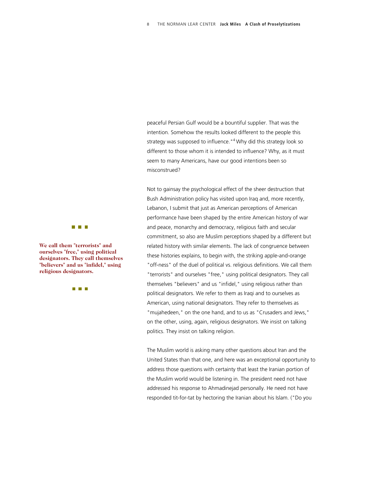peaceful Persian Gulf would be a bountiful supplier. That was the intention. Somehow the results looked different to the people this strategy was supposed to influence."<sup>4</sup> Why did this strategy look so different to those whom it is intended to influence? Why, as it must seem to many Americans, have our good intentions been so misconstrued?

Not to gainsay the psychological effect of the sheer destruction that Bush Administration policy has visited upon Iraq and, more recently, Lebanon, I submit that just as American perceptions of American performance have been shaped by the entire American history of war and peace, monarchy and democracy, religious faith and secular commitment, so also are Muslim perceptions shaped by a different but related history with similar elements. The lack of congruence between these histories explains, to begin with, the striking apple-and-orange "off-ness" of the duel of political vs. religious definitions. We call them "terrorists" and ourselves "free," using political designators. They call themselves "believers" and us "infidel," using religious rather than political designators. We refer to them as Iraqi and to ourselves as American, using national designators. They refer to themselves as "mujahedeen," on the one hand, and to us as "Crusaders and Jews," on the other, using, again, religious designators. We insist on talking politics. They insist on talking religion.

The Muslim world is asking many other questions about Iran and the United States than that one, and here was an exceptional opportunity to address those questions with certainty that least the Iranian portion of the Muslim world would be listening in. The president need not have addressed his response to Ahmadinejad personally. He need not have responded tit-for-tat by hectoring the Iranian about his Islam. ("Do you

**The Common** 

**We call them "terrorists" and ourselves "free," using politic al designators. They call thems elves "believers" and us "infidel," u sing religious designators.** 

an an Ind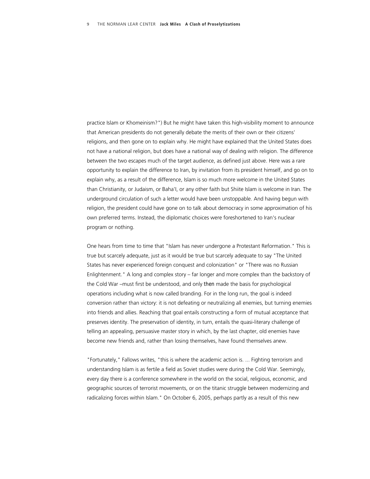practice Islam or Khomeinism?") But he might have taken this high-visibility moment to announce that American presidents do not generally debate the merits of their own or their citizens' religions, and then gone on to explain why. He might have explained that the United States does not have a national religion, but does have a national way of dealing with religion. The difference between the two escapes much of the target audience, as defined just above. Here was a rare opportunity to explain the difference to Iran, by invitation from its president himself, and go on to explain why, as a result of the difference, Islam is so much more welcome in the United States than Christianity, or Judaism, or Baha'I, or any other faith but Shiite Islam is welcome in Iran. The underground circulation of such a letter would have been unstoppable. And having begun with religion, the president could have gone on to talk about democracy in some approximation of his own preferred terms. Instead, the diplomatic choices were foreshortened to Iran's nuclear program or nothing.

One hears from time to time that "Islam has never undergone a Protestant Reformation." This is true but scarcely adequate, just as it would be true but scarcely adequate to say "The United States has never experienced foreign conquest and colonization" or "There was no Russian Enlightenment." A long and complex story – far longer and more complex than the backstory of the Cold War –must first be understood, and only *then* made the basis for psychological operations including what is now called branding. For in the long run, the goal is indeed conversion rather than victory: it is not defeating or neutralizing all enemies, but turning enemies into friends and allies. Reaching that goal entails constructing a form of mutual acceptance that preserves identity. The preservation of identity, in turn, entails the quasi-literary challenge of telling an appealing, persuasive master story in which, by the last chapter, old enemies have become new friends and, rather than losing themselves, have found themselves anew.

"Fortunately," Fallows writes, "this is where the academic action is. ... Fighting terrorism and understanding Islam is as fertile a field as Soviet studies were during the Cold War. Seemingly, every day there is a conference somewhere in the world on the social, religious, economic, and geographic sources of terrorist movements, or on the titanic struggle between modernizing and radicalizing forces within Islam." On October 6, 2005, perhaps partly as a result of this new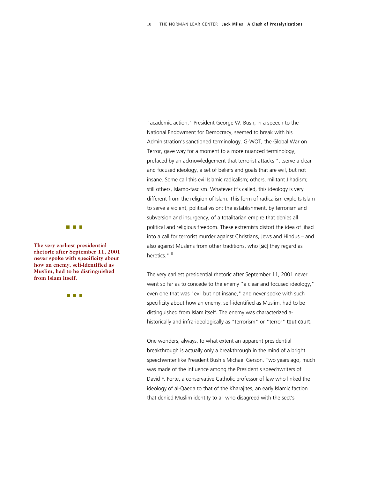"academic action," President George W. Bush, in a speech to the National Endowment for Democracy, seemed to break with his Administration's sanctioned terminology. G-WOT, the Global War on Terror, gave way for a moment to a more nuanced terminology, prefaced by an acknowledgement that terrorist attacks "...serve a clear and focused ideology, a set of beliefs and goals that are evil, but not insane. Some call this evil Islamic radicalism; others, militant Jihadism; still others, Islamo-fascism. Whatever it's called, this ideology is very different from the religion of Islam. This form of radicalism exploits Islam to serve a violent, political vision: the establishment, by terrorism and subversion and insurgency, of a totalitarian empire that denies all political and religious freedom. These extremists distort the idea of jihad into a call for terrorist murder against Christians, Jews and Hindus – and also against Muslims from other traditions, who [*sic*] they regard as heretics." 6

**from Islam itself.** The very earliest presidential rhetoric after September 11, 2001 never went so far as to concede to the enemy "a clear and focused ideology," even one that was "evil but not insane," and never spoke with such specificity about how an enemy, self-identified as Muslim, had to be distinguished from Islam itself. The enemy was characterized ahistorically and infra-ideologically as "terrorism" or "terror" *tout court.* 

> One wonders, always, to what extent an apparent presidential breakthrough is actually only a breakthrough in the mind of a bright speechwriter like President Bush's Michael Gerson. Two years ago, much was made of the influence among the President's speechwriters of David F. Forte, a conservative Catholic professor of law who linked the ideology of al-Qaeda to that of the Kharajites, an early Islamic faction that denied Muslim identity to all who disagreed with the sect's



**The very earliest presidential rhetoric after September 11, 2001 never spoke with specificity about how an enemy, self-identified as Muslim, had to be distinguished** 

 $\Box$   $\Box$   $\Box$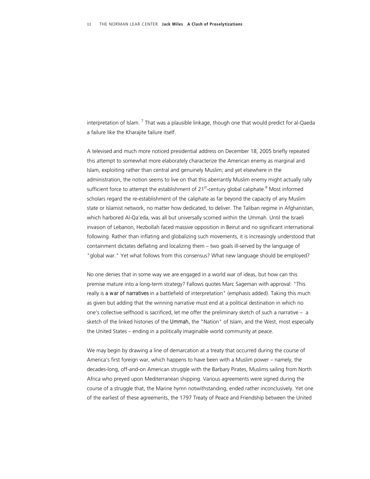interpretation of Islam. <sup>7</sup> That was a plausible linkage, though one that would predict for al-Qaeda a failure like the Kharajite failure itself.

A televised and much more noticed presidential address on December 18, 2005 briefly repeated this attempt to somewhat more elaborately characterize the American enemy as marginal and Islam, exploiting rather than central and genuinely Muslim; and yet elsewhere in the administration, the notion seems to live on that this aberrantly Muslim enemy might actually rally sufficient force to attempt the establishment of 21<sup>st</sup>-century global caliphate.<sup>8</sup> Most informed scholars regard the re-establishment of the caliphate as far beyond the capacity of any Muslim state or Islamist network, no matter how dedicated, to deliver. The Taliban regime in Afghanistan, which harbored Al-Qa'eda, was all but universally scorned within the Ummah. Until the Israeli invasion of Lebanon, Hezbollah faced massive opposition in Beirut and no significant international following. Rather than inflating and globalizing such movements, it is increasingly understood that containment dictates deflating and localizing them – two goals ill-served by the language of "global war." Yet what follows from this consensus? What new language should be employed?

No one denies that in some way we are engaged in a world war of ideas, but how can this premise mature into a long-term strategy? Fallows quotes Marc Sageman with approval: "This really is *a war of narratives* in a battlefield of interpretation" (emphasis added). Taking this much as given but adding that the winning narrative must end at a political destination in which no one's collective selfhood is sacrificed, let me offer the preliminary sketch of such a narrative – a sketch of the linked histories of the *Ummah,* the "Nation" of Islam, and the West, most especially the United States – ending in a politically imaginable world community at peace.

We may begin by drawing a line of demarcation at a treaty that occurred during the course of America's first foreign war, which happens to have been with a Muslim power – namely, the decades-long, off-and-on American struggle with the Barbary Pirates, Muslims sailing from North Africa who preyed upon Mediterranean shipping. Various agreements were signed during the course of a struggle that, the Marine hymn notwithstanding, ended rather inconclusively. Yet one of the earliest of these agreements, the 1797 Treaty of Peace and Friendship between the United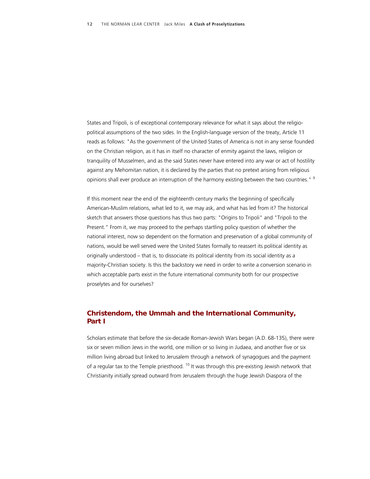States and Tripoli, is of exceptional contemporary relevance for what it says about the religiopolitical assumptions of the two sides. In the English-language version of the treaty, Article 11 reads as follows: "As the government of the United States of America is not in any sense founded on the Christian religion, as it has in itself no character of enmity against the laws, religion or tranquility of Musselmen, and as the said States never have entered into any war or act of hostility against any Mehomitan nation, it is declared by the parties that no pretext arising from religious opinions shall ever produce an interruption of the harmony existing between the two countries." <sup>9</sup>

If this moment near the end of the eighteenth century marks the beginning of specifically American-Muslim relations, what led to it, we may ask, and what has led from it? The historical sketch that answers those questions has thus two parts: "Origins to Tripoli" and "Tripoli to the Present." From it, we may proceed to the perhaps startling policy question of whether the national interest, now so dependent on the formation and preservation of a global community of nations, would be well served were the United States formally to reassert its political identity as originally understood – that is, to dissociate its political identity from its social identity as a majority-Christian society. Is this the backstory we need in order to write a conversion scenario in which acceptable parts exist in the future international community both for our prospective proselytes and for ourselves?

## *Christendom, the Ummah and the International Community, Part I*

Scholars estimate that before the six-decade Roman-Jewish Wars began (A.D. 68-135), there were six or seven million Jews in the world, one million or so living in Judaea, and another five or six million living abroad but linked to Jerusalem through a network of synagogues and the payment of a regular tax to the Temple priesthood.<sup>10</sup> It was through this pre-existing Jewish network that Christianity initially spread outward from Jerusalem through the huge Jewish Diaspora of the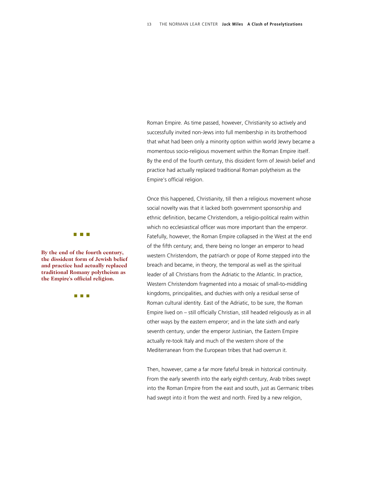Roman Empire. As time passed, however, Christianity so actively and successfully invited non-Jews into full membership in its brotherhood that what had been only a minority option within world Jewry became a momentous socio-religious movement within the Roman Empire itself. By the end of the fourth century, this dissident form of Jewish belief and practice had actually replaced traditional Roman polytheism as the Empire's official religion.

Once this happened, Christianity, till then a religious movement whose social novelty was that it lacked both government sponsorship and ethnic definition, became Christendom, a religio-political realm within which no ecclesiastical officer was more important than the emperor. Fatefully, however, the Roman Empire collapsed in the West at the end of the fifth century; and, there being no longer an emperor to head western Christendom, the patriarch or pope of Rome stepped into the breach and became, in theory, the temporal as well as the spiritual leader of all Christians from the Adriatic to the Atlantic. In practice, Western Christendom fragmented into a mosaic of small-to-middling kingdoms, principalities, and duchies with only a residual sense of Roman cultural identity. East of the Adriatic, to be sure, the Roman Empire lived on – still officially Christian, still headed religiously as in all other ways by the eastern emperor; and in the late sixth and early seventh century, under the emperor Justinian, the Eastern Empire actually re-took Italy and much of the western shore of the Mediterranean from the European tribes that had overrun it.

Then, however, came a far more fateful break in historical continuity. From the early seventh into the early eighth century, Arab tribes swept into the Roman Empire from the east and south, just as Germanic tribes had swept into it from the west and north. Fired by a new religion,



**By the end of the fourth century, the dissident form of Jewish belief and practice had actually replaced traditional Romany polytheism as the Empire's official religion.**

a a s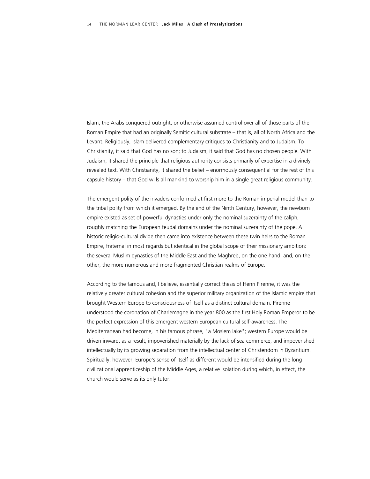Islam, the Arabs conquered outright, or otherwise assumed control over all of those parts of the Roman Empire that had an originally Semitic cultural substrate – that is, all of North Africa and the Levant. Religiously, Islam delivered complementary critiques to Christianity and to Judaism. To Christianity, it said that God has no son; to Judaism, it said that God has no chosen people. With Judaism, it shared the principle that religious authority consists primarily of expertise in a divinely revealed text. With Christianity, it shared the belief – enormously consequential for the rest of this capsule history – that God wills all mankind to worship him in a single great religious community.

The emergent polity of the invaders conformed at first more to the Roman imperial model than to the tribal polity from which it emerged. By the end of the Ninth Century, however, the newborn empire existed as set of powerful dynasties under only the nominal suzerainty of the caliph, roughly matching the European feudal domains under the nominal suzerainty of the pope. A historic religio-cultural divide then came into existence between these twin heirs to the Roman Empire, fraternal in most regards but identical in the global scope of their missionary ambition: the several Muslim dynasties of the Middle East and the Maghreb, on the one hand, and, on the other, the more numerous and more fragmented Christian realms of Europe.

According to the famous and, I believe, essentially correct thesis of Henri Pirenne, it was the relatively greater cultural cohesion and the superior military organization of the Islamic empire that brought Western Europe to consciousness of itself as a distinct cultural domain. Pirenne understood the coronation of Charlemagne in the year 800 as the first Holy Roman Emperor to be the perfect expression of this emergent western European cultural self-awareness. The Mediterranean had become, in his famous phrase, "a Moslem lake"; western Europe would be driven inward, as a result, impoverished materially by the lack of sea commerce, and impoverished intellectually by its growing separation from the intellectual center of Christendom in Byzantium. Spiritually, however, Europe's sense of itself as different would be intensified during the long civilizational apprenticeship of the Middle Ages, a relative isolation during which, in effect, the church would serve as its only tutor.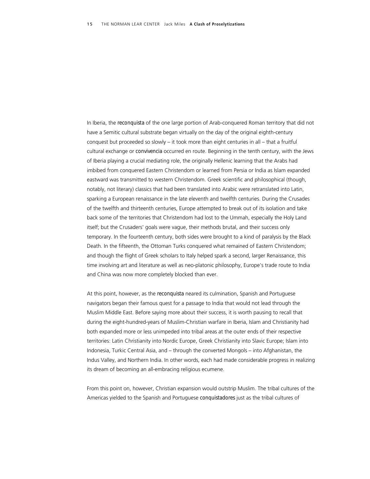In Iberia, the *reconquista* of the one large portion of Arab-conquered Roman territory that did not have a Semitic cultural substrate began virtually on the day of the original eighth-century conquest but proceeded so slowly – it took more than eight centuries in all – that a fruitful cultural exchange or *convivencia* occurred en route. Beginning in the tenth century, with the Jews of Iberia playing a crucial mediating role, the originally Hellenic learning that the Arabs had imbibed from conquered Eastern Christendom or learned from Persia or India as Islam expanded eastward was transmitted to western Christendom. Greek scientific and philosophical (though, notably, not literary) classics that had been translated into Arabic were retranslated into Latin, sparking a European renaissance in the late eleventh and twelfth centuries. During the Crusades of the twelfth and thirteenth centuries, Europe attempted to break out of its isolation and take back some of the territories that Christendom had lost to the Ummah, especially the Holy Land itself; but the Crusaders' goals were vague, their methods brutal, and their success only temporary. In the fourteenth century, both sides were brought to a kind of paralysis by the Black Death. In the fifteenth, the Ottoman Turks conquered what remained of Eastern Christendom; and though the flight of Greek scholars to Italy helped spark a second, larger Renaissance, this time involving art and literature as well as neo-platonic philosophy, Europe's trade route to India and China was now more completely blocked than ever.

At this point, however, as the *reconquista* neared its culmination, Spanish and Portuguese navigators began their famous quest for a passage to India that would not lead through the Muslim Middle East. Before saying more about their success, it is worth pausing to recall that during the eight-hundred-years of Muslim-Christian warfare in Iberia, Islam and Christianity had both expanded more or less unimpeded into tribal areas at the outer ends of their respective territories: Latin Christianity into Nordic Europe, Greek Christianity into Slavic Europe; Islam into Indonesia, Turkic Central Asia, and – through the converted Mongols – into Afghanistan, the Indus Valley, and Northern India. In other words, each had made considerable progress in realizing its dream of becoming an all-embracing religious ecumene.

From this point on, however, Christian expansion would outstrip Muslim. The tribal cultures of the Americas yielded to the Spanish and Portuguese *conquistadores* just as the tribal cultures of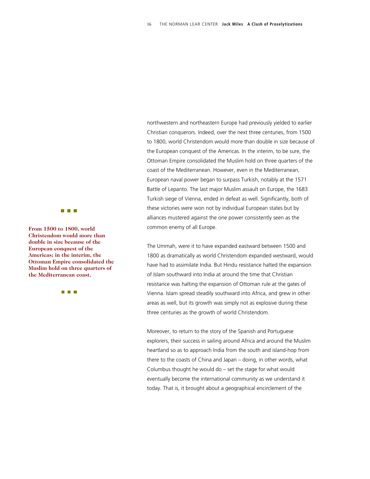**The Common** 

From 1500 to 1800, world **From 1500** to 1800, world **Christendom would more than double in size because of the European conquest of the Americas; in the interim, th e Ottoman Empire consolidated the Muslim hold on three quarte rs of the Mediterranean coast.** 

an an Ind

northwestern and northeastern Europe had previously yielded to earlier Christian conquerors. Indeed, over the next three centuries, from 1500 to 1800, world Christendom would more than double in size because of the European conquest of the Americas. In the interim, to be sure, the Ottoman Empire consolidated the Muslim hold on three quarters of the coast of the Mediterranean. However, even in the Mediterranean, European naval power began to surpass Turkish, notably at the 1571 Battle of Lepanto. The last major Muslim assault on Europe, the 1683 Turkish siege of Vienna, ended in defeat as well. Significantly, both of these victories were won not by individual European states but by alliances mustered against the one power consistently seen as the

The Ummah, were it to have expanded eastward between 1500 and 1800 as dramatically as world Christendom expanded westward, would have had to assimilate India. But Hindu resistance halted the expansion of Islam southward into India at around the time that Christian resistance was halting the expansion of Ottoman rule at the gates of Vienna. Islam spread steadily southward into Africa, and grew in other areas as well, but its growth was simply not as explosive during these three centuries as the growth of world Christendom.

Moreover, to return to the story of the Spanish and Portuguese explorers, their success in sailing around Africa and around the Muslim heartland so as to approach India from the south and island-hop from there to the coasts of China and Japan – doing, in other words, what Columbus thought he would do – set the stage for what would eventually become the international community as we understand it today. That is, it brought about a geographical encirclement of the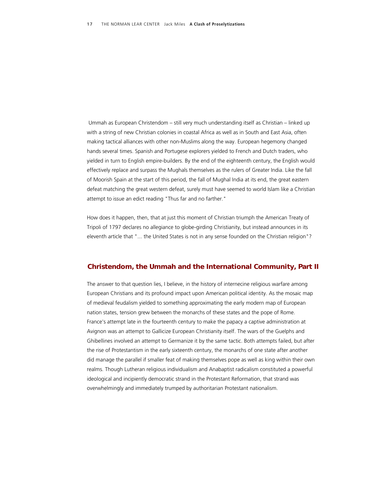Ummah as European Christendom – still very much understanding itself as Christian – linked up with a string of new Christian colonies in coastal Africa as well as in South and East Asia, often making tactical alliances with other non-Muslims along the way. European hegemony changed hands several times. Spanish and Portugese explorers yielded to French and Dutch traders, who yielded in turn to English empire-builders. By the end of the eighteenth century, the English would effectively replace and surpass the Mughals themselves as the rulers of Greater India. Like the fall of Moorish Spain at the start of this period, the fall of Mughal India at its end, the great eastern defeat matching the great western defeat, surely must have seemed to world Islam like a Christian attempt to issue an edict reading "Thus far and no farther."

How does it happen, then, that at just this moment of Christian triumph the American Treaty of Tripoli of 1797 declares no allegiance to globe-girding Christianity, but instead announces in its eleventh article that "... the United States is not in any sense founded on the Christian religion"?

#### *Christendom, the Ummah and the International Community, Part II*

The answer to that question lies, I believe, in the history of internecine religious warfare among European Christians and its profound impact upon American political identity. As the mosaic map of medieval feudalism yielded to something approximating the early modern map of European nation states, tension grew between the monarchs of these states and the pope of Rome. France's attempt late in the fourteenth century to make the papacy a captive administration at Avignon was an attempt to Gallicize European Christianity itself. The wars of the Guelphs and Ghibellines involved an attempt to Germanize it by the same tactic. Both attempts failed, but after the rise of Protestantism in the early sixteenth century, the monarchs of one state after another did manage the parallel if smaller feat of making themselves pope as well as king within their own realms. Though Lutheran religious individualism and Anabaptist radicalism constituted a powerful ideological and incipiently democratic strand in the Protestant Reformation, that strand was overwhelmingly and immediately trumped by authoritarian Protestant nationalism.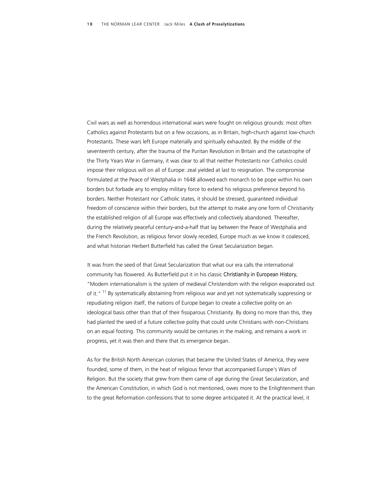Civil wars as well as horrendous international wars were fought on religious grounds: most often Catholics against Protestants but on a few occasions, as in Britain, high-church against low-church Protestants. These wars left Europe materially and spiritually exhausted. By the middle of the seventeenth century, after the trauma of the Puritan Revolution in Britain and the catastrophe of the Thirty Years War in Germany, it was clear to all that neither Protestants nor Catholics could impose their religious will on all of Europe: zeal yielded at last to resignation. The compromise formulated at the Peace of Westphalia in 1648 allowed each monarch to be pope within his own borders but forbade any to employ military force to extend his religious preference beyond his borders. Neither Protestant nor Catholic states, it should be stressed, guaranteed individual freedom of conscience within their borders, but the attempt to make any one form of Christianity the established religion of all Europe was effectively and collectively abandoned. Thereafter, during the relatively peaceful century-and-a-half that lay between the Peace of Westphalia and the French Revolution, as religious fervor slowly receded, Europe much as we know it coalesced, and what historian Herbert Butterfield has called the Great Secularization began.

 It was from the seed of that Great Secularization that what our era calls the international community has flowered. As Butterfield put it in his classic *Christianity in European History,* "Modern internationalism is the system of medieval Christendom with the religion evaporated out of it." <sup>11</sup> By systematically abstaining from religious war and yet not systematically suppressing or repudiating religion itself, the nations of Europe began to create a collective polity on an ideological basis other than that of their fissiparous Christianity. By doing no more than this, they had planted the seed of a future collective polity that could unite Christians with non-Christians on an equal footing. This community would be centuries in the making, and remains a work in progress, yet it was then and there that its emergence began.

As for the British North American colonies that became the United States of America, they were founded, some of them, in the heat of religious fervor that accompanied Europe's Wars of Religion. But the society that grew from them came of age during the Great Secularization, and the American Constitution, in which God is not mentioned, owes more to the Enlightenment than to the great Reformation confessions that to some degree anticipated it. At the practical level, it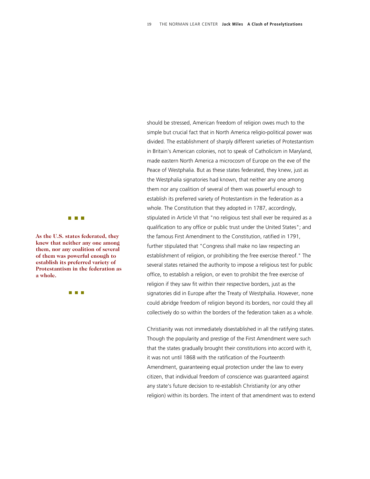

**As the U.S. states federated, they knew that neither any one a mong them, nor any coalition of se veral of them was powerful enoug h to establish its preferred variet y of Protestantism in the federation as a whole.** 

**TERMIN** 

should be stressed, American freedom of religion owes much to the simple but crucial fact that in North America religio-political power was divided. The establishment of sharply different varieties of Protestantism in Britain's American colonies, not to speak of Catholicism in Maryland, made eastern North America a microcosm of Europe on the eve of the Peace of Westphalia. But as these states federated, they knew, just as the Westphalia signatories had known, that neither any one among them nor any coalition of several of them was powerful enough to establish its preferred variety of Protestantism in the federation as a whole. The Constitution that they adopted in 1787, accordingly, stipulated in Article VI that "no religious test shall ever be required as a qualification to any office or public trust under the United States"; and the famous First Amendment to the Constitution, ratified in 1791, further stipulated that "Congress shall make no law respecting an establishment of religion, or prohibiting the free exercise thereof." The several states retained the authority to impose a religious test for public office, to establish a religion, or even to prohibit the free exercise of religion if they saw fit within their respective borders, just as the signatories did in Europe after the Treaty of Westphalia. However, none could abridge freedom of religion beyond its borders, nor could they all collectively do so within the borders of the federation taken as a whole.

Christianity was not immediately disestablished in all the ratifying states. Though the popularity and prestige of the First Amendment were such that the states gradually brought their constitutions into accord with it, it was not until 1868 with the ratification of the Fourteenth Amendment, guaranteeing equal protection under the law to every citizen, that individual freedom of conscience was guaranteed against any state's future decision to re-establish Christianity (or any other religion) within its borders. The intent of that amendment was to extend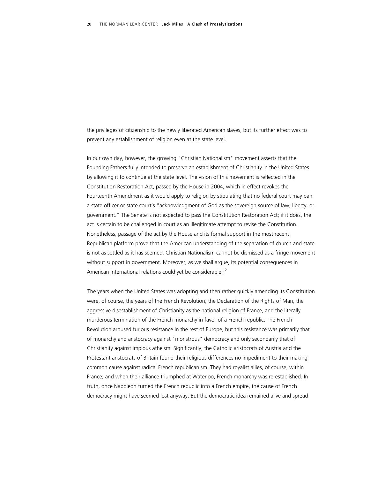the privileges of citizenship to the newly liberated American slaves, but its further effect was to prevent any establishment of religion even at the state level.

In our own day, however, the growing "Christian Nationalism" movement asserts that the Founding Fathers fully intended to preserve an establishment of Christianity in the United States by allowing it to continue at the state level. The vision of this movement is reflected in the Constitution Restoration Act, passed by the House in 2004, which in effect revokes the Fourteenth Amendment as it would apply to religion by stipulating that no federal court may ban a state officer or state court's "acknowledgment of God as the sovereign source of law, liberty, or government." The Senate is not expected to pass the Constitution Restoration Act; if it does, the act is certain to be challenged in court as an illegitimate attempt to revise the Constitution. Nonetheless, passage of the act by the House and its formal support in the most recent Republican platform prove that the American understanding of the separation of church and state is not as settled as it has seemed. Christian Nationalism cannot be dismissed as a fringe movement without support in government. Moreover, as we shall argue, its potential consequences in American international relations could yet be considerable.<sup>12</sup>

 The years when the United States was adopting and then rather quickly amending its Constitution were, of course, the years of the French Revolution, the Declaration of the Rights of Man, the aggressive disestablishment of Christianity as the national religion of France, and the literally murderous termination of the French monarchy in favor of a French republic. The French Revolution aroused furious resistance in the rest of Europe, but this resistance was primarily that of monarchy and aristocracy against "monstrous" democracy and only secondarily that of Christianity against impious atheism. Significantly, the Catholic aristocrats of Austria and the Protestant aristocrats of Britain found their religious differences no impediment to their making common cause against radical French republicanism. They had royalist allies, of course, within France; and when their alliance triumphed at Waterloo, French monarchy was re-established. In truth, once Napoleon turned the French republic into a French empire, the cause of French democracy might have seemed lost anyway. But the democratic idea remained alive and spread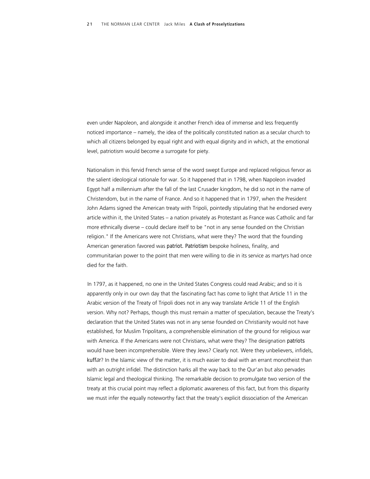even under Napoleon, and alongside it another French idea of immense and less frequently noticed importance – namely, the idea of the politically constituted nation as a secular church to which all citizens belonged by equal right and with equal dignity and in which, at the emotional level, patriotism would become a surrogate for piety.

Nationalism in this fervid French sense of the word swept Europe and replaced religious fervor as the salient ideological rationale for war. So it happened that in 1798, when Napoleon invaded Egypt half a millennium after the fall of the last Crusader kingdom, he did so not in the name of Christendom, but in the name of France. And so it happened that in 1797, when the President John Adams signed the American treaty with Tripoli, pointedly stipulating that he endorsed every article within it, the United States – a nation privately as Protestant as France was Catholic and far more ethnically diverse – could declare itself to be "not in any sense founded on the Christian religion." If the Americans were not Christians, what were they? The word that the founding American generation favored was *patriot. Patriotism* bespoke holiness, finality, and communitarian power to the point that men were willing to die in its service as martyrs had once died for the faith.

 In 1797, as it happened, no one in the United States Congress could read Arabic; and so it is apparently only in our own day that the fascinating fact has come to light that Article 11 in the Arabic version of the Treaty of Tripoli does not in any way translate Article 11 of the English version. Why not? Perhaps, though this must remain a matter of speculation, because the Treaty's declaration that the United States was not in any sense founded on Christianity would not have established, for Muslim Tripolitans, a comprehensible elimination of the ground for religious war with America. If the Americans were not Christians, what were they? The designation *patriots*  would have been incomprehensible. Were they Jews? Clearly not. Were they unbelievers, infidels, *kuffār*? In the Islamic view of the matter, it is much easier to deal with an errant monotheist than with an outright infidel. The distinction harks all the way back to the Qur'an but also pervades Islamic legal and theological thinking. The remarkable decision to promulgate two version of the treaty at this crucial point may reflect a diplomatic awareness of this fact, but from this disparity we must infer the equally noteworthy fact that the treaty's explicit dissociation of the American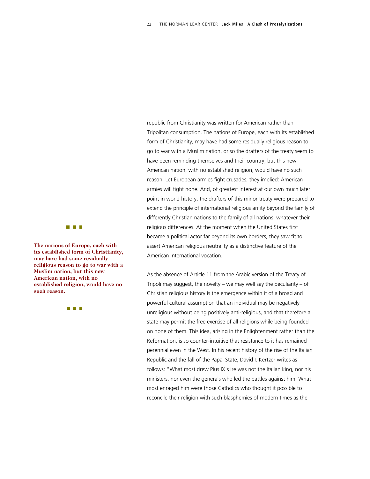republic from Christianity was written for American rather than Tripolitan consumption. The nations of Europe, each with its established form of Christianity, may have had some residually religious reason to go to war with a Muslim nation, or so the drafters of the treaty seem to have been reminding themselves and their country, but this new American nation, with no established religion, would have no such reason. Let European armies fight crusades, they implied: American armies will fight none. And, of greatest interest at our own much later point in world history, the drafters of this minor treaty were prepared to extend the principle of international religious amity beyond the family of differently Christian nations to the family of all nations, whatever their religious differences. At the moment when the United States first became a political actor far beyond its own borders, they saw fit to assert American religious neutrality as a distinctive feature of the American international vocation.

As the absence of Article 11 from the Arabic version of the Treaty of Tripoli may suggest, the novelty – we may well say the peculiarity – of Christian religious history is the emergence within it of a broad and powerful cultural assumption that an individual may be negatively unreligious without being positively anti-religious, and that therefore a state may permit the free exercise of all religions while being founded on none of them. This idea, arising in the Enlightenment rather than the Reformation, is so counter-intuitive that resistance to it has remained perennial even in the West. In his recent history of the rise of the Italian Republic and the fall of the Papal State, David I. Kertzer writes as follows: "What most drew Pius IX's ire was not the Italian king, nor his ministers, nor even the generals who led the battles against him. What most enraged him were those Catholics who thought it possible to reconcile their religion with such blasphemies of modern times as the



**The nations of Europe, each with its established form of Christianity, may have had some residuall y religious reason to go to war with a Muslim nation, but this new American nation, with no established religion, would have no such reason.** 

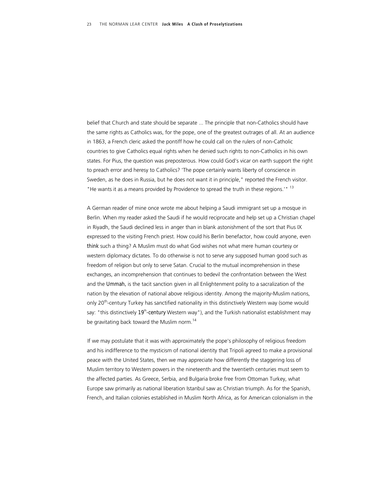belief that Church and state should be separate ... The principle that non-Catholics should have the same rights as Catholics was, for the pope, one of the greatest outrages of all. At an audience in 1863, a French cleric asked the pontiff how he could call on the rulers of non-Catholic countries to give Catholics equal rights when he denied such rights to non-Catholics in his own states. For Pius, the question was preposterous. How could God's vicar on earth support the right to preach error and heresy to Catholics? 'The pope certainly wants liberty of conscience in Sweden, as he does in Russia, but he does not want it in principle," reported the French visitor. "He wants it as a means provided by Providence to spread the truth in these regions.'" <sup>13</sup>

A German reader of mine once wrote me about helping a Saudi immigrant set up a mosque in Berlin. When my reader asked the Saudi if he would reciprocate and help set up a Christian chapel in Riyadh, the Saudi declined less in anger than in blank astonishment of the sort that Pius IX expressed to the visiting French priest. How could his Berlin benefactor, how could anyone, even *think* such a thing? A Muslim must do what God wishes not what mere human courtesy or western diplomacy dictates. To do otherwise is not to serve any supposed human good such as freedom of religion but only to serve Satan. Crucial to the mutual incomprehension in these exchanges, an incomprehension that continues to bedevil the confrontation between the West and the *Ummah,* is the tacit sanction given in all Enlightenment polity to a sacralization of the nation by the elevation of national above religious identity. Among the majority-Muslim nations, only 20<sup>th</sup>-century Turkey has sanctified nationality in this distinctively Western way (some would say: "this distinctively 19<sup>th</sup>-century Western way"), and the Turkish nationalist establishment may be gravitating back toward the Muslim norm.<sup>14</sup>

 If we may postulate that it was with approximately the pope's philosophy of religious freedom and his indifference to the mysticism of national identity that Tripoli agreed to make a provisional peace with the United States, then we may appreciate how differently the staggering loss of Muslim territory to Western powers in the nineteenth and the twentieth centuries must seem to the affected parties. As Greece, Serbia, and Bulgaria broke free from Ottoman Turkey, what Europe saw primarily as national liberation Istanbul saw as Christian triumph. As for the Spanish, French, and Italian colonies established in Muslim North Africa, as for American colonialism in the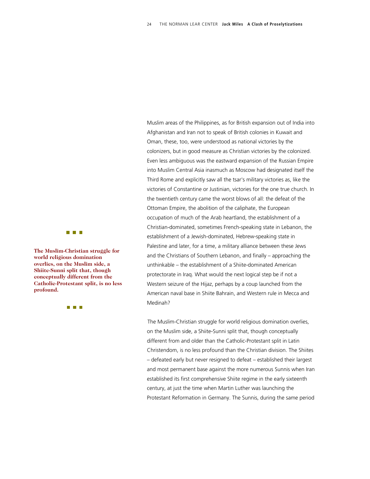Muslim areas of the Philippines, as for British expansion out of India into Afghanistan and Iran not to speak of British colonies in Kuwait and Oman, these, too, were understood as national victories by the

colonizers, but in good measure as Christian victories by the colonized.

Even less ambiguous was the eastward expansion of the Russian Empire into Muslim Central Asia inasmuch as Moscow had designated itself the Third Rome and explicitly saw all the tsar's military victories as, like the victories of Constantine or Justinian, victories for the one true church. In the twentieth century came the worst blows of all: the defeat of the Ottoman Empire, the abolition of the caliphate, the European occupation of much of the Arab heartland, the establishment of a Christian-dominated, sometimes French-speaking state in Lebanon, the establishment of a Jewish-dominated, Hebrew-speaking state in Palestine and later, for a time, a military alliance between these Jews and the Christians of Southern Lebanon, and finally – approaching the unthinkable – the establishment of a Shiite-dominated American protectorate in Iraq. What would the next logical step be if not a Western seizure of the Hijaz, perhaps by a coup launched from the American naval base in Shiite Bahrain, and Western rule in Mecca and Medinah?

The Muslim-Christian struggle for world religious domination overlies, on the Muslim side, a Shiite-Sunni split that, though conceptually different from and older than the Catholic-Protestant split in Latin Christendom, is no less profound than the Christian division. The Shiites – defeated early but never resigned to defeat – established their largest and most permanent base against the more numerous Sunnis when Iran established its first comprehensive Shiite regime in the early sixteenth century, at just the time when Martin Luther was launching the Protestant Reformation in Germany. The Sunnis, during the same period



**The Muslim-Christian struggle for world religious domination overlies, on the Muslim side , a Shiite-Sunni split that, thou gh conceptually different from the Catholic-Protestant split, is no less profound.** 

**THE REAL**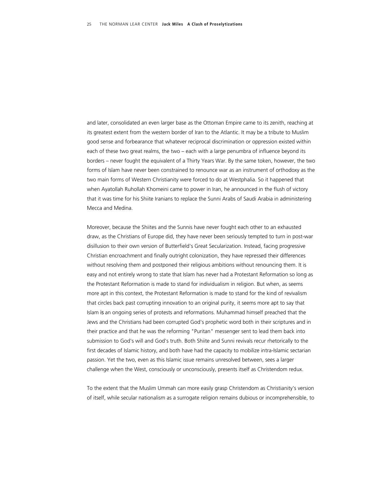and later, consolidated an even larger base as the Ottoman Empire came to its zenith, reaching at its greatest extent from the western border of Iran to the Atlantic. It may be a tribute to Muslim good sense and forbearance that whatever reciprocal discrimination or oppression existed within each of these two great realms, the two – each with a large penumbra of influence beyond its borders – never fought the equivalent of a Thirty Years War. By the same token, however, the two forms of Islam have never been constrained to renounce war as an instrument of orthodoxy as the two main forms of Western Christianity were forced to do at Westphalia. So it happened that when Ayatollah Ruhollah Khomeini came to power in Iran, he announced in the flush of victory that it was time for his Shiite Iranians to replace the Sunni Arabs of Saudi Arabia in administering Mecca and Medina.

Moreover, because the Shiites and the Sunnis have never fought each other to an exhausted draw, as the Christians of Europe did, they have never been seriously tempted to turn in post-war disillusion to their own version of Butterfield's Great Secularization. Instead, facing progressive Christian encroachment and finally outright colonization, they have repressed their differences without resolving them and postponed their religious ambitions without renouncing them. It is easy and not entirely wrong to state that Islam has never had a Protestant Reformation so long as the Protestant Reformation is made to stand for individualism in religion. But when, as seems more apt in this context, the Protestant Reformation is made to stand for the kind of revivalism that circles back past corrupting innovation to an original purity, it seems more apt to say that Islam *is* an ongoing series of protests and reformations. Muhammad himself preached that the Jews and the Christians had been corrupted God's prophetic word both in their scriptures and in their practice and that he was the reforming "Puritan" messenger sent to lead them back into submission to God's will and God's truth. Both Shiite and Sunni revivals recur rhetorically to the first decades of Islamic history, and both have had the capacity to mobilize intra-Islamic sectarian passion. Yet the two, even as this Islamic issue remains unresolved between, sees a larger challenge when the West, consciously or unconsciously, presents itself as Christendom redux.

To the extent that the Muslim Ummah can more easily grasp Christendom as Christianity's version of itself, while secular nationalism as a surrogate religion remains dubious or incomprehensible, to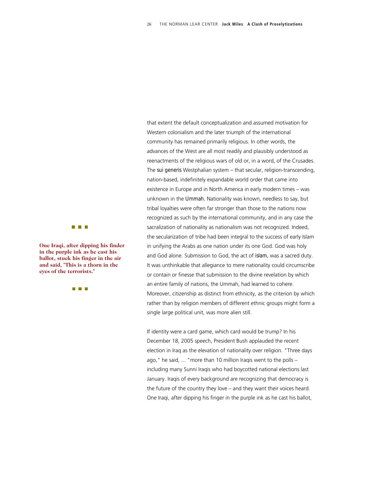that extent the default conceptualization and assumed motivation for Western colonialism and the later triumph of the international community has remained primarily religious. In other words, the advances of the West are all most readily and plausibly understood as reenactments of the religious wars of old or, in a word, of the Crusades. The *sui generis* Westphalian system – that secular, religion-transcending, nation-based, indefinitely expandable world order that came into existence in Europe and in North America in early modern times – was unknown in the *Ummah.* Nationality was known, needless to say, but tribal loyalties were often far stronger than those to the nations now recognized as such by the international community, and in any case the sacralization of nationality as nationalism was not recognized. Indeed, the secularization of tribe had been integral to the success of early Islam in unifying the Arabs as one nation under its one God. God was holy and God alone. Submission to God, the act of *islam,* was a sacred duty. It was unthinkable that allegiance to mere nationality could circumscribe or contain or finesse that submission to the divine revelation by which an entire family of nations, the Ummah, had learned to cohere. Moreover, citizenship as distinct from ethnicity, as the criterion by which rather than by religion members of different ethnic groups might form a single large political unit, was more alien still.

If identity were a card game, which card would be trump? In his December 18, 2005 speech, President Bush applauded the recent election in Iraq as the elevation of nationality over religion. "Three days ago," he said, ... "more than 10 million Iraqis went to the polls – including many Sunni Iraqis who had boycotted national elections last January. Iraqis of every background are recognizing that democracy is the future of the country they love – and they want their voices heard. One Iraqi, after dipping his finger in the purple ink as he cast his ballot,



**One Iraqi, after dipping his finder in the purple ink as he cast his ballot, stuck his finger in th e air and said, "This is a thorn in the eyes of the terrorists."** 

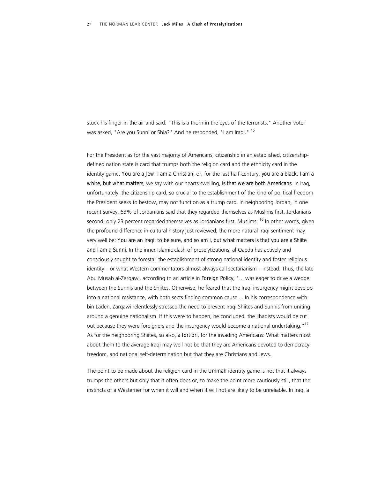stuck his finger in the air and said: "This is a thorn in the eyes of the terrorists." Another voter was asked, "Are you Sunni or Shia?" And he responded, "I am Iraqi." <sup>15</sup>

For the President as for the vast majority of Americans, citizenship in an established, citizenshipdefined nation state is card that trumps both the religion card and the ethnicity card in the identity game. *You are a Jew, I am a Christian*, or, for the last half-century, *you are a black, I am a white, but what matters*, we say with our hearts swelling, *is that we are both Americans*. In Iraq, unfortunately, the citizenship card, so crucial to the establishment of the kind of political freedom the President seeks to bestow, may not function as a trump card. In neighboring Jordan, in one recent survey, 63% of Jordanians said that they regarded themselves as Muslims first, Jordanians second; only 23 percent regarded themselves as Jordanians first, Muslims.<sup>16</sup> In other words, given the profound difference in cultural history just reviewed, the more natural Iraqi sentiment may very well be: *You are an Iraqi, to be sure, and so am I, but what matters is that you are a Shiite*  and I am a Sunni. In the inner-Islamic clash of proselytizations, al-Qaeda has actively and consciously sought to forestall the establishment of strong national identity and foster religious identity – or what Western commentators almost always call sectarianism – instead. Thus, the late Abu Musab al-Zarqawi, according to an article in *Foreign Policy,* "... was eager to drive a wedge between the Sunnis and the Shiites. Otherwise, he feared that the Iraqi insurgency might develop into a national resistance, with both sects finding common cause ... In his correspondence with bin Laden, Zarqawi relentlessly stressed the need to prevent Iraqi Shiites and Sunnis from uniting around a genuine nationalism. If this were to happen, he concluded, the jihadists would be cut out because they were foreigners and the insurgency would become a national undertaking."<sup>17</sup> As for the neighboring Shiites, so also, *a fortiori,* for the invading Americans: What matters most about them to the average Iraqi may well not be that they are Americans devoted to democracy, freedom, and national self-determination but that they are Christians and Jews.

 The point to be made about the religion card in the *Ummah* identity game is not that it always trumps the others but only that it often does or, to make the point more cautiously still, that the instincts of a Westerner for when it will and when it will not are likely to be unreliable. In Iraq, a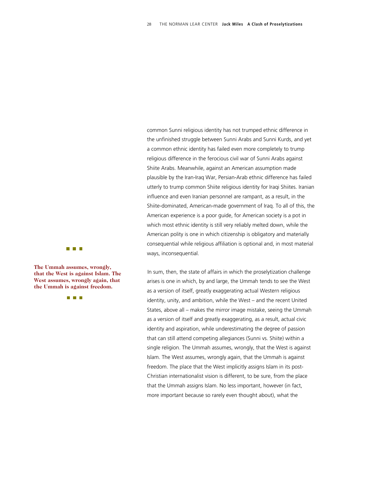common Sunni religious identity has not trumped ethnic difference in the unfinished struggle between Sunni Arabs and Sunni Kurds, and yet a common ethnic identity has failed even more completely to trump religious difference in the ferocious civil war of Sunni Arabs against Shiite Arabs. Meanwhile, against an American assumption made plausible by the Iran-Iraq War, Persian-Arab ethnic difference has failed utterly to trump common Shiite religious identity for Iraqi Shiites. Iranian influence and even Iranian personnel are rampant, as a result, in the Shiite-dominated, American-made government of Iraq. To all of this, the American experience is a poor guide, for American society is a pot in which most ethnic identity is still very reliably melted down, while the American polity is one in which citizenship is obligatory and materially consequential while religious affiliation is optional and, in most material ways, inconsequential.

In sum, then, the state of affairs in which the proselytization challenge arises is one in which, by and large, the Ummah tends to see the West as a version of itself, greatly exaggerating actual Western religious identity, unity, and ambition, while the West – and the recent United States, above all – makes the mirror image mistake, seeing the Ummah as a version of itself and greatly exaggerating, as a result, actual civic identity and aspiration, while underestimating the degree of passion that can still attend competing allegiances (Sunni vs. Shiite) within a single religion. The Ummah assumes, wrongly, that the West is against Islam. The West assumes, wrongly again, that the Ummah is against freedom. The place that the West implicitly assigns Islam in its post-Christian internationalist vision is different, to be sure, from the place that the Ummah assigns Islam. No less important, however (in fact, more important because so rarely even thought about), what the



**The Ummah assumes, wrong ly, that the West is against Islam. The West assumes, wrongly again t , tha the Ummah is against freedo m.**

n n n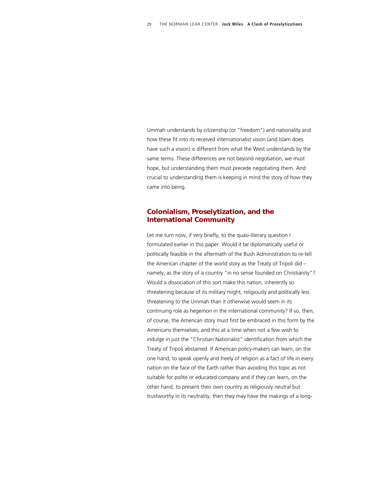Ummah understands by citizenship (or "freedom") and nationality and how these fit into its received internationalist vision (and Islam does have such a vision) is different from what the West understands by the same terms. These differences are not beyond negotiation, we must hope, but understanding them must precede negotiating them. And crucial to understanding them is keeping in mind the story of how they came into being.

### *Colonialism, Proselytization, and the International Community*

Let me turn now, if very briefly, to the quasi-literary question I formulated earlier in this paper: Would it be diplomatically useful or politically feasible in the aftermath of the Bush Administration to re-tell the American chapter of the world story as the Treaty of Tripoli did – namely, as the story of a country "in no sense founded on Christianity"? Would a dissociation of this sort make this nation, inherently so threatening because of its military might, religiously and politically less threatening to the Ummah than it otherwise would seem in its continuing role as hegemon in the international community? If so, then, of course, the American story must first be embraced in this form by the Americans themselves, and this at a time when not a few wish to indulge in just the "Christian Nationalist" identification from which the Treaty of Tripoli abstained. If American policy-makers can learn, on the one hand, to speak openly and freely of religion as a fact of life in every nation on the face of the Earth rather than avoiding this topic as not suitable for polite or educated company and if they can learn, on the other hand, to present their own country as religiously neutral but trustworthy in its neutrality, then they may have the makings of a long-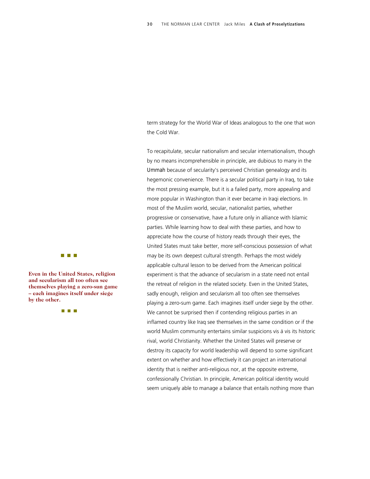term strategy for the World War of Ideas analogous to the one that won the Cold War.

To recapitulate, secular nationalism and secular internationalism, though by no means incomprehensible in principle, are dubious to many in the *Ummah* because of secularity's perceived Christian genealogy and its hegemonic convenience. There is a secular political party in Iraq, to take the most pressing example, but it is a failed party, more appealing and more popular in Washington than it ever became in Iraqi elections. In most of the Muslim world, secular, nationalist parties, whether progressive or conservative, have a future only in alliance with Islamic parties. While learning how to deal with these parties, and how to appreciate how the course of history reads through their eyes, the United States must take better, more self-conscious possession of what may be its own deepest cultural strength. Perhaps the most widely applicable cultural lesson to be derived from the American political experiment is that the advance of secularism in a state need not entail the retreat of religion in the related society. Even in the United States, sadly enough, religion and secularism all too often see themselves playing a zero-sum game. Each imagines itself under siege by the other. We cannot be surprised then if contending religious parties in an inflamed country like Iraq see themselves in the same condition or if the world Muslim community entertains similar suspicions vis á vis its historic rival, world Christianity. Whether the United States will preserve or destroy its capacity for world leadership will depend to some significant extent on whether and how effectively it can project an international identity that is neither anti-religious nor, at the opposite extreme, confessionally Christian. In principle, American political identity would seem uniquely able to manage a balance that entails nothing more than



**Even in the United States, religion and secularism all too often see themselves playing a zero-sun game – each imagines itself under siege by the other.**

**The Common**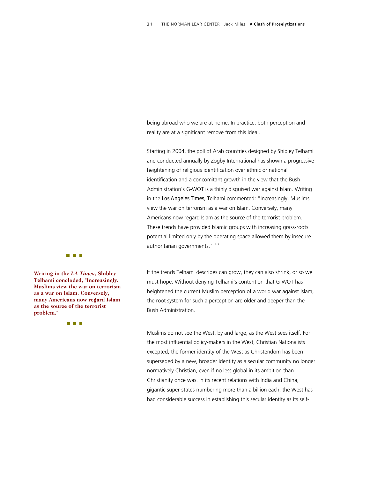being abroad who we are at home. In practice, both perception and reality are at a significant remove from this ideal.

Starting in 2004, the poll of Arab countries designed by Shibley Telhami and conducted annually by Zogby International has shown a progressive heightening of religious identification over ethnic or national identification and a concomitant growth in the view that the Bush Administration's G-WOT is a thinly disguised war against Islam. Writing in the *Los Angeles Times,* Telhami commented: "Increasingly, Muslims view the war on terrorism as a war on Islam. Conversely, many Americans now regard Islam as the source of the terrorist problem. These trends have provided Islamic groups with increasing grass-roots potential limited only by the operating space allowed them by insecure authoritarian governments."<sup>18</sup>

If the trends Telhami describes can grow, they can also shrink, or so we must hope. Without denying Telhami's contention that G-WOT has heightened the current Muslim perception of a world war against Islam, the root system for such a perception are older and deeper than the Bush Administration.

Muslims do not see the West, by and large, as the West sees itself. For the most influential policy-makers in the West, Christian Nationalists excepted, the former identity of the West as Christendom has been superseded by a new, broader identity as a secular community no longer normatively Christian, even if no less global in its ambition than Christianity once was. In its recent relations with India and China, gigantic super-states numbering more than a billion each, the West has had considerable success in establishing this secular identity as its self-



**Writing in the** *LA Times***, Sh ibley Telhami concluded, "Increas ingly, Muslims view the war on terrorism as a war on Islam. Conversel y, many Americans now regard Islam as the source of the terrorist problem."**

**THE REAL**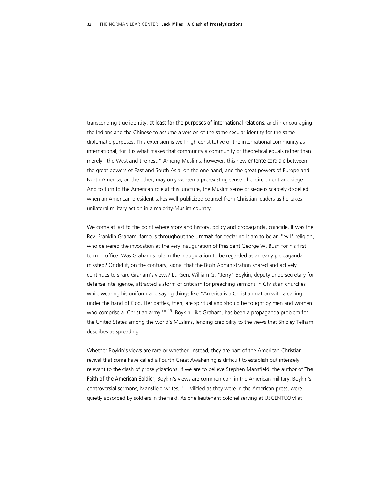transcending true identity, *at least for the purposes of international relations,* and in encouraging the Indians and the Chinese to assume a version of the same secular identity for the same diplomatic purposes. This extension is well nigh constitutive of the international community as international, for it is what makes that community a community of theoretical equals rather than merely "the West and the rest." Among Muslims, however, this new *entente cordiale* between the great powers of East and South Asia, on the one hand, and the great powers of Europe and North America, on the other, may only worsen a pre-existing sense of encirclement and siege. And to turn to the American role at this juncture, the Muslim sense of siege is scarcely dispelled when an American president takes well-publicized counsel from Christian leaders as he takes unilateral military action in a majority-Muslim country.

We come at last to the point where story and history, policy and propaganda, coincide. It was the Rev. Franklin Graham, famous throughout the *Ummah* for declaring Islam to be an "evil" religion, who delivered the invocation at the very inauguration of President George W. Bush for his first term in office. Was Graham's role in the inauguration to be regarded as an early propaganda misstep? Or did it, on the contrary, signal that the Bush Administration shared and actively continues to share Graham's views? Lt. Gen. William G. "Jerry" Boykin, deputy undersecretary for defense intelligence, attracted a storm of criticism for preaching sermons in Christian churches while wearing his uniform and saying things like "America is a Christian nation with a calling under the hand of God. Her battles, then, are spiritual and should be fought by men and women who comprise a 'Christian army.'" <sup>19</sup> Boykin, like Graham, has been a propaganda problem for the United States among the world's Muslims, lending credibility to the views that Shibley Telhami describes as spreading.

Whether Boykin's views are rare or whether, instead, they are part of the American Christian revival that some have called a Fourth Great Awakening is difficult to establish but intensely relevant to the clash of proselytizations. If we are to believe Stephen Mansfield, the author of *The Faith of the American Soldier*, Boykin's views are common coin in the American military. Boykin's controversial sermons, Mansfield writes, "... vilified as they were in the American press, were quietly absorbed by soldiers in the field. As one lieutenant colonel serving at USCENTCOM at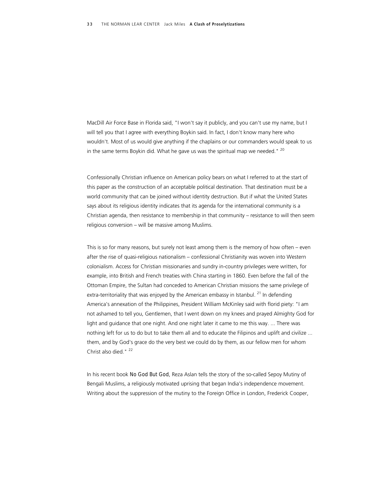MacDill Air Force Base in Florida said, "I won't say it publicly, and you can't use my name, but I will tell you that I agree with everything Boykin said. In fact, I don't know many here who wouldn't. Most of us would give anything if the chaplains or our commanders would speak to us in the same terms Boykin did. What he gave us was the spiritual map we needed."  $^{20}$ 

Confessionally Christian influence on American policy bears on what I referred to at the start of this paper as the construction of an acceptable political destination. That destination must be a world community that can be joined without identity destruction. But if what the United States says about its religious identity indicates that its agenda for the international community is a Christian agenda, then resistance to membership in that community – resistance to will then seem religious conversion – will be massive among Muslims.

This is so for many reasons, but surely not least among them is the memory of how often – even after the rise of quasi-religious nationalism – confessional Christianity was woven into Western colonialism. Access for Christian missionaries and sundry in-country privileges were written, for example, into British and French treaties with China starting in 1860. Even before the fall of the Ottoman Empire, the Sultan had conceded to American Christian missions the same privilege of extra-territoriality that was enjoyed by the American embassy in Istanbul.  $^{21}$  In defending America's annexation of the Philippines, President William McKinley said with florid piety: "I am not ashamed to tell you, Gentlemen, that I went down on my knees and prayed Almighty God for light and guidance that one night. And one night later it came to me this way. ... There was nothing left for us to do but to take them all and to educate the Filipinos and uplift and civilize ... them, and by God's grace do the very best we could do by them, as our fellow men for whom Christ also died."<sup>22</sup>

In his recent book *No God But God*, Reza Aslan tells the story of the so-called Sepoy Mutiny of Bengali Muslims, a religiously motivated uprising that began India's independence movement. Writing about the suppression of the mutiny to the Foreign Office in London, Frederick Cooper,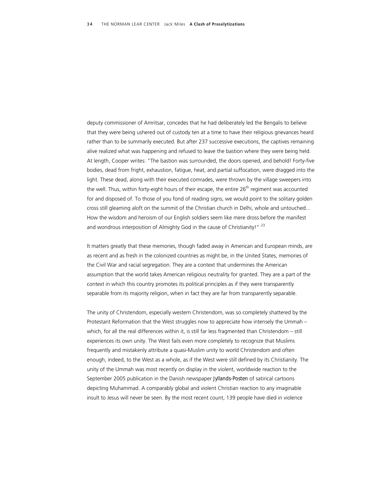deputy commissioner of Amritsar, concedes that he had deliberately led the Bengalis to believe that they were being ushered out of custody ten at a time to have their religious grievances heard rather than to be summarily executed. But after 237 successive executions, the captives remaining alive realized what was happening and refused to leave the bastion where they were being held. At length, Cooper writes: "The bastion was surrounded, the doors opened, and behold! Forty-five bodies, dead from fright, exhaustion, fatigue, heat, and partial suffocation, were dragged into the light. These dead, along with their executed comrades, were thrown by the village sweepers into the well. Thus, within forty-eight hours of their escape, the entire  $26<sup>th</sup>$  regiment was accounted for and disposed of. To those of you fond of reading signs, we would point to the solitary golden cross still gleaming aloft on the summit of the Christian church in Delhi, whole and untouched... How the wisdom and heroism of our English soldiers seem like mere dross before the manifest and wondrous interposition of Almighty God in the cause of Christianity!" <sup>23</sup>

It matters greatly that these memories, though faded away in American and European minds, are as recent and as fresh in the colonized countries as might be, in the United States, memories of the Civil War and racial segregation. They are a context that undermines the American assumption that the world takes American religious neutrality for granted. They are a part of the context in which this country promotes its political principles as if they were transparently separable from its majority religion, when in fact they are far from transparently separable.

The unity of Christendom, especially western Christendom, was so completely shattered by the Protestant Reformation that the West struggles now to appreciate how intensely the Ummah – which, for all the real differences within it, is still far less fragmented than Christendom – still experiences its own unity. The West fails even more completely to recognize that Muslims frequently and mistakenly attribute a quasi-Muslim unity to world Christendom and often enough, indeed, to the West as a whole, as if the West were still defined by its Christianity. The unity of the Ummah was most recently on display in the violent, worldwide reaction to the September 2005 publication in the Danish newspaper *Jyllands-Posten* of satirical cartoons depicting Muhammad. A comparably global and violent Christian reaction to any imaginable insult to Jesus will never be seen. By the most recent count, 139 people have died in violence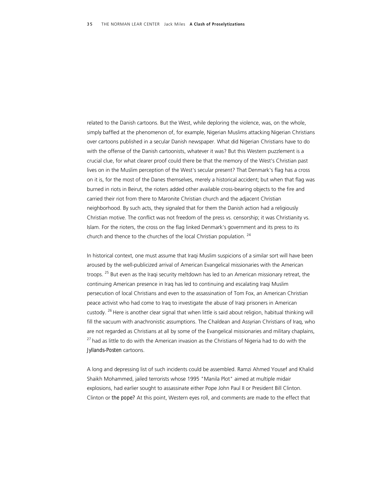related to the Danish cartoons. But the West, while deploring the violence, was, on the whole, simply baffled at the phenomenon of, for example, Nigerian Muslims attacking Nigerian Christians over cartoons published in a secular Danish newspaper. What did Nigerian Christians have to do with the offense of the Danish cartoonists, whatever it was? But this Western puzzlement is a crucial clue, for what clearer proof could there be that the memory of the West's Christian past lives on in the Muslim perception of the West's secular present? That Denmark's flag has a cross on it is, for the most of the Danes themselves, merely a historical accident; but when that flag was burned in riots in Beirut, the rioters added other available cross-bearing objects to the fire and carried their riot from there to Maronite Christian church and the adjacent Christian neighborhood. By such acts, they signaled that for them the Danish action had a religiously Christian motive. The conflict was not freedom of the press vs. censorship; it was Christianity vs. Islam. For the rioters, the cross on the flag linked Denmark's government and its press to its church and thence to the churches of the local Christian population. 24

In historical context, one must assume that Iraqi Muslim suspicions of a similar sort will have been aroused by the well-publicized arrival of American Evangelical missionaries with the American troops. <sup>25</sup> But even as the Iraqi security meltdown has led to an American missionary retreat, the continuing American presence in Iraq has led to continuing and escalating Iraqi Muslim persecution of local Christians and even to the assassination of Tom Fox, an American Christian peace activist who had come to Iraq to investigate the abuse of Iraqi prisoners in American custody. <sup>26</sup> Here is another clear signal that when little is said about religion, habitual thinking will fill the vacuum with anachronistic assumptions. The Chaldean and Assyrian Christians of Iraq, who are not regarded as Christians at all by some of the Evangelical missionaries and military chaplains,  $27$  had as little to do with the American invasion as the Christians of Nigeria had to do with the *Jyllands-Posten* cartoons.

A long and depressing list of such incidents could be assembled. Ramzi Ahmed Yousef and Khalid Shaikh Mohammed, jailed terrorists whose 1995 "Manila Plot" aimed at multiple midair explosions, had earlier sought to assassinate either Pope John Paul II or President Bill Clinton. Clinton or *the pope?* At this point, Western eyes roll, and comments are made to the effect that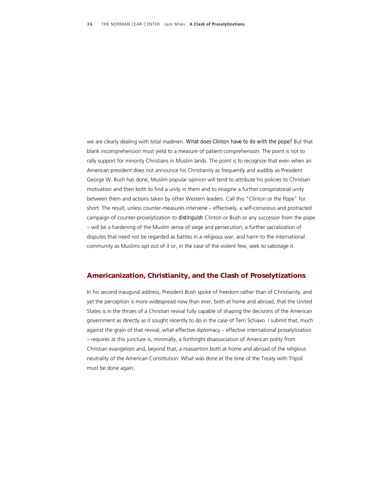we are clearly dealing with total madmen. *What does Clinton have to do with the pope?* But that blank incomprehension must yield to a measure of patient comprehension. The point is not to rally support for minority Christians in Muslim lands. The point is to recognize that even when an American president does not announce his Christianity as frequently and audibly as President George W. Bush has done, Muslim popular opinion will tend to attribute his policies to Christian motivation and then both to find a unity in them and to imagine a further conspiratorial unity between them and actions taken by other Western leaders. Call this "Clinton or the Pope" for short. The result, unless counter-measures intervene – effectively, a self-conscious and protracted campaign of counter-proselytization to *distinguish* Clinton or Bush or any successor from the pope – will be a hardening of the Muslim sense of siege and persecution, a further sacralization of disputes that need not be regarded as battles in a religious war, and harm to the international community as Muslims opt out of it or, in the case of the violent few, seek to sabotage it.

#### *Americanization, Christianity, and the Clash of Proselytizations*

In his second inaugural address, President Bush spoke of freedom rather than of Christianity, and yet the perception is more widespread now than ever, both at home and abroad, that the United States is in the throes of a Christian revival fully capable of shaping the decisions of the American government as directly as it sought recently to do in the case of Terri Schiavo. I submit that, much against the grain of that revival, what effective diplomacy – effective international proselytization – requires at this juncture is, minimally, a forthright disassociation of American polity from Christian evangelism and, beyond that, a reassertion both at home and abroad of the religious neutrality of the American Constitution. What was done at the time of the Treaty with Tripoli must be done again.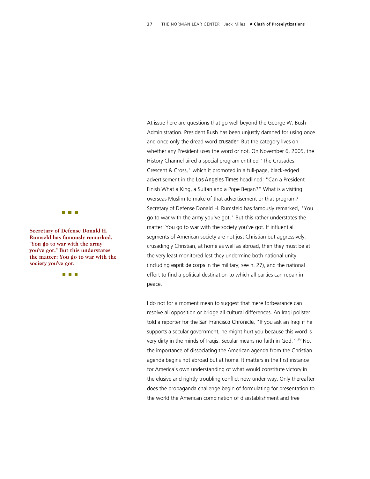**The Common** 

**Secretary of Defense Donald H.** Rumseld has famously remarked, **"You go to war with the arm y you've got." But this underst ates the matter: You go to war w e ith th society you've got.**

**THE REAL** 

At issue here are questions that go well beyond the George W. Bush Administration. President Bush has been unjustly damned for using once and once only the dread word *crusader.* But the category lives on whether any President uses the word or not. On November 6, 2005, the History Channel aired a special program entitled "The Crusades: Crescent & Cross," which it promoted in a full-page, black-edged advertisement in the *Los Angeles Times* headlined: "Can a President Finish What a King, a Sultan and a Pope Began?" What is a visiting overseas Muslim to make of that advertisement or that program? Secretary of Defense Donald H. Rumsfeld has famously remarked, "You go to war with the army you've got." But this rather understates the matter: You go to war with the society you've got. If influential segments of American society are not just Christian but aggressively, crusadingly Christian, at home as well as abroad, then they must be at the very least monitored lest they undermine both national unity (including *esprit de corps* in the military; see n. 27), and the national effort to find a political destination to which all parties can repair in peace.

I do not for a moment mean to suggest that mere forbearance can resolve all opposition or bridge all cultural differences. An Iraqi pollster told a reporter for the *San Francisco Chronicle*, "If you ask an Iraqi if he supports a secular government, he might hurt you because this word is very dirty in the minds of Iragis. Secular means no faith in God." <sup>28</sup> No, the importance of dissociating the American agenda from the Christian agenda begins not abroad but at home. It matters in the first instance for America's own understanding of what would constitute victory in the elusive and rightly troubling conflict now under way. Only thereafter does the propaganda challenge begin of formulating for presentation to the world the American combination of disestablishment and free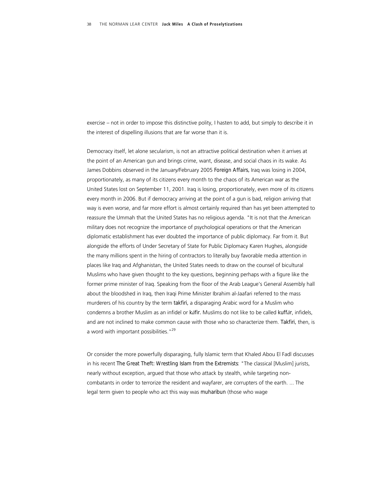exercise – not in order to impose this distinctive polity, I hasten to add, but simply to describe it in the interest of dispelling illusions that are far worse than it is.

Democracy itself, let alone secularism, is not an attractive political destination when it arrives at the point of an American gun and brings crime, want, disease, and social chaos in its wake. As James Dobbins observed in the January/February 2005 *Foreign Affairs,* Iraq was losing in 2004, proportionately, as many of its citizens every month to the chaos of its American war as the United States lost on September 11, 2001. Iraq is losing, proportionately, even more of its citizens every month in 2006. But if democracy arriving at the point of a gun is bad, religion arriving that way is even worse, and far more effort is almost certainly required than has yet been attempted to reassure the Ummah that the United States has no religious agenda. "It is not that the American military does not recognize the importance of psychological operations or that the American diplomatic establishment has ever doubted the importance of public diplomacy. Far from it. But alongside the efforts of Under Secretary of State for Public Diplomacy Karen Hughes, alongside the many millions spent in the hiring of contractors to literally buy favorable media attention in places like Iraq and Afghanistan, the United States needs to draw on the counsel of bicultural Muslims who have given thought to the key questions, beginning perhaps with a figure like the former prime minister of Iraq. Speaking from the floor of the Arab League's General Assembly hall about the bloodshed in Iraq, then Iraqi Prime Minister Ibrahim al-Jaafari referred to the mass murderers of his country by the term *takfiri,* a disparaging Arabic word for a Muslim who condemns a brother Muslim as an infidel or *kāfir.* Muslims do not like to be called *kuffār*, infidels, and are not inclined to make common cause with those who so characterize them. *Takfiri,* then, is a word with important possibilities."<sup>29</sup>

Or consider the more powerfully disparaging, fully Islamic term that Khaled Abou El Fadl discusses in his recent *The Great Theft: Wrestling Islam from the Extremists*: "The classical [Muslim] jurists, nearly without exception, argued that those who attack by stealth, while targeting noncombatants in order to terrorize the resident and wayfarer, are corrupters of the earth. ... The legal term given to people who act this way was *muharibun* (those who wage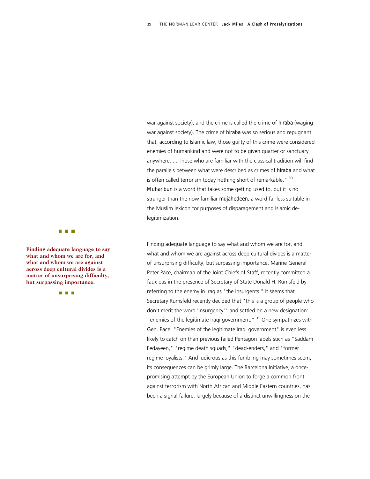war against society), and the crime is called the crime of *hiraba* (waging war against society). The crime of *hiraba* was so serious and repugnant that, according to Islamic law, those guilty of this crime were considered enemies of humankind and were not to be given quarter or sanctuary anywhere. ... Those who are familiar with the classical tradition will find the parallels between what were described as crimes of *hiraba* and what is often called terrorism today nothing short of remarkable." 30 *Muharibun* is a word that takes some getting used to, but it is no stranger than the now familiar *mujahedeen,* a word far less suitable in the Muslim lexicon for purposes of disparagement and Islamic delegitimization.

Finding adequate language to say what and whom we are for, and what and whom we are against across deep cultural divides is a matter of unsurprising difficulty, but surpassing importance. Marine General Peter Pace, chairman of the Joint Chiefs of Staff, recently committed a faux pas in the presence of Secretary of State Donald H. Rumsfeld by referring to the enemy in Iraq as "the insurgents." It seems that Secretary Rumsfeld recently decided that "this is a group of people who don't merit the word 'insurgency'" and settled on a new designation: "enemies of the legitimate Iraqi government." <sup>31</sup> One sympathizes with Gen. Pace. "Enemies of the legitimate Iraqi government" is even less likely to catch on than previous failed Pentagon labels such as "Saddam Fedayeen," "regime death squads," "dead-enders," and "former regime loyalists." And ludicrous as this fumbling may sometimes seem, its consequences can be grimly large. The Barcelona Initiative, a oncepromising attempt by the European Union to forge a common front against terrorism with North African and Middle Eastern countries, has been a signal failure, largely because of a distinct unwillingness on the

**The Common** 

**Finding adequate language t o say what and whom we are for, and what and whom we are against across deep cultural divides is a matter of unsurprising difficulty, but surpassing importance.**

**THE R**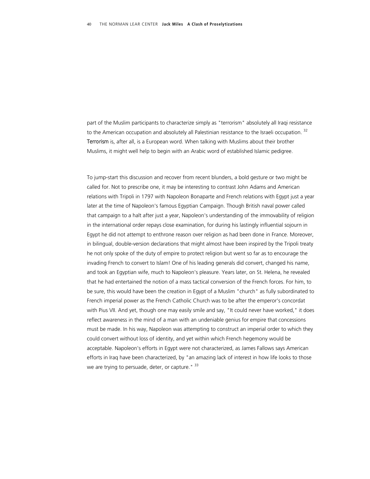part of the Muslim participants to characterize simply as "terrorism" absolutely all Iraqi resistance to the American occupation and absolutely all Palestinian resistance to the Israeli occupation.  $32$ *Terrorism* is, after all, is a European word. When talking with Muslims about their brother Muslims, it might well help to begin with an Arabic word of established Islamic pedigree.

To jump-start this discussion and recover from recent blunders, a bold gesture or two might be called for. Not to prescribe one, it may be interesting to contrast John Adams and American relations with Tripoli in 1797 with Napoleon Bonaparte and French relations with Egypt just a year later at the time of Napoleon's famous Egyptian Campaign. Though British naval power called that campaign to a halt after just a year, Napoleon's understanding of the immovability of religion in the international order repays close examination, for during his lastingly influential sojourn in Egypt he did not attempt to enthrone reason over religion as had been done in France. Moreover, in bilingual, double-version declarations that might almost have been inspired by the Tripoli treaty he not only spoke of the duty of empire to protect religion but went so far as to encourage the invading French to convert to Islam! One of his leading generals did convert, changed his name, and took an Egyptian wife, much to Napoleon's pleasure. Years later, on St. Helena, he revealed that he had entertained the notion of a mass tactical conversion of the French forces. For him, to be sure, this would have been the creation in Egypt of a Muslim "church" as fully subordinated to French imperial power as the French Catholic Church was to be after the emperor's concordat with Pius VII. And yet, though one may easily smile and say, "It could never have worked," it does reflect awareness in the mind of a man with an undeniable genius for empire that concessions must be made. In his way, Napoleon was attempting to construct an imperial order to which they could convert without loss of identity, and yet within which French hegemony would be acceptable. Napoleon's efforts in Egypt were not characterized, as James Fallows says American efforts in Iraq have been characterized, by "an amazing lack of interest in how life looks to those we are trying to persuade, deter, or capture." <sup>33</sup>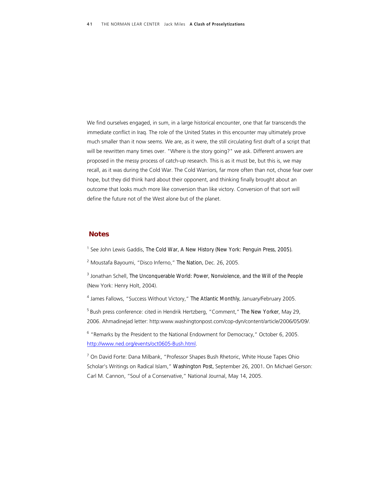We find ourselves engaged, in sum, in a large historical encounter, one that far transcends the immediate conflict in Iraq. The role of the United States in this encounter may ultimately prove much smaller than it now seems. We are, as it were, the still circulating first draft of a script that will be rewritten many times over. "Where is the story going?" we ask. Different answers are proposed in the messy process of catch-up research. This is as it must be, but this is, we may recall, as it was during the Cold War. The Cold Warriors, far more often than not, chose fear over hope, but they did think hard about their opponent, and thinking finally brought about an outcome that looks much more like conversion than like victory. Conversion of that sort will define the future not of the West alone but of the planet.

#### *Notes*

<sup>1</sup> See John Lewis Gaddis, *The Cold War, A New History (New York: Penguin Press, 2005).* 

2 Moustafa Bayoumi, "Disco Inferno," *The Nation,* Dec. 26, 2005.

<sup>3</sup> Jonathan Schell, *The Unconquerable World: Power, Nonviolence, and the Will of the People* (New York: Henry Holt, 2004).

4 James Fallows, "Success Without Victory," *The Atlantic Monthly,* January/February 2005.

5 Bush press conference: cited in Hendrik Hertzberg, "Comment," *The New Yorker*, May 29, 2006. Ahmadinejad letter: http:www.washingtonpost.com/cop-dyn/content/article/2006/05/09/.

<sup>6</sup> "Remarks by the President to the National Endowment for Democracy," October 6, 2005. <http://www.ned.org/events/oct0605-Bush.html>.

<sup>7</sup> On David Forte: Dana Milbank, "Professor Shapes Bush Rhetoric, White House Tapes Ohio Scholar's Writings on Radical Islam," *Washington Post,* September 26, 2001*.* On Michael Gerson: Carl M. Cannon, "Soul of a Conservative," National Journal, May 14, 2005.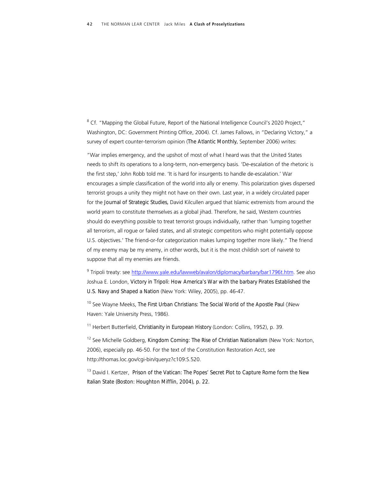<sup>8</sup> Cf. "Mapping the Global Future, Report of the National Intelligence Council's 2020 Project," Washington, DC: Government Printing Office, 2004). Cf. James Fallows, in "Declaring Victory," a survey of expert counter-terrorism opinion (*The Atlantic Monthly,* September 2006) writes:

"War implies emergency, and the upshot of most of what I heard was that the United States needs to shift its operations to a long-term, non-emergency basis. 'De-escalation of the rhetoric is the first step,' John Robb told me. 'It is hard for insurgents to handle de-escalation.' War encourages a simple classification of the world into ally or enemy. This polarization gives dispersed terrorist groups a unity they might not have on their own. Last year, in a widely circulated paper for the *Journal of Strategic Studies,* David Kilcullen argued that Islamic extremists from around the world yearn to constitute themselves as a global jihad. Therefore, he said, Western countries should do everything possible to treat terrorist groups individually, rather than 'lumping together all terrorism, all rogue or failed states, and all strategic competitors who might potentially oppose U.S. objectives.' The friend-or-for categorization makes lumping together more likely." The friend of my enemy may be my enemy, in other words, but it is the most childish sort of naiveté to suppose that all my enemies are friends.

<sup>9</sup> Tripoli treaty: see <u>http://www.yale.edu/lawweb/avalon/diplomacy/barbary/bar1796t.htm</u>. See also Joshua E. London, *Victory in Tripoli: How America's War with the barbary Pirates Established the U.S. Navy and Shaped a Nation* (New York: Wiley, 2005), pp. 46-47.

10 See Wayne Meeks, *The First Urban Christians: The Social World of the Apostle Paul* ()New Haven: Yale University Press, 1986).

11 Herbert Butterfield, *Christianity in European History* (London: Collins, 1952), p. 39.

12 See Michelle Goldberg, *Kingdom Coming: The Rise of Christian Nationalism* (New York: Norton, 2006), especially pp. 46-50. For the text of the Constitution Restoration Acct, see http://thomas.loc.gov/cgi-bin/queryz?c109:S.520.

13 David I. Kertzer, *Prison of the Vatican: The Popes' Secret Plot to Capture Rome form the New Italian State (Boston: Houghton Mifflin, 2004), p. 22.*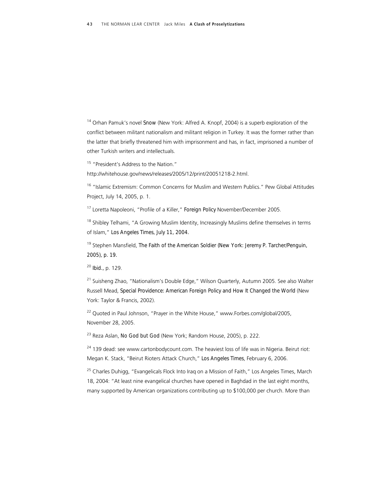14 Orhan Pamuk's novel *Snow* (New York: Alfred A. Knopf, 2004) is a superb exploration of the conflict between militant nationalism and militant religion in Turkey. It was the former rather than the latter that briefly threatened him with imprisonment and has, in fact, imprisoned a number of other Turkish writers and intellectuals.

<sup>15</sup> "President's Address to the Nation."

http://whitehouse.gov/news/releases/2005/12/print/20051218-2.html.

<sup>16</sup> "Islamic Extremism: Common Concerns for Muslim and Western Publics." Pew Global Attitudes Project, July 14, 2005, p. 1.

17 Loretta Napoleoni, "Profile of a Killer," *Foreign Policy* November/December 2005.

<sup>18</sup> Shibley Telhami, "A Growing Muslim Identity, Increasingly Muslims define themselves in terms of Islam," *Los Angeles Times, July 11, 2004.* 

19 Stephen Mansfield, *The Faith of the American Soldier (New York: Jeremy P. Tarcher/Penguin, 2005), p. 19.* 

<sup>20</sup> *Ibid.,* p. 129.

<sup>21</sup> Suisheng Zhao, "Nationalism's Double Edge," Wilson Quarterly, Autumn 2005. See also Walter Russell Mead, *Special Providence: American Foreign Policy and How It Changed the World* (New York: Taylor & Francis, 2002).

<sup>22</sup> Quoted in Paul Johnson, "Prayer in the White House," www.Forbes.com/global/2005, November 28, 2005.

23 Reza Aslan, *No God but God* (New York; Random House, 2005), p. 222.

<sup>24</sup> 139 dead: see www.cartonbodycount.com. The heaviest loss of life was in Nigeria. Beirut riot: Megan K. Stack, "Beirut Rioters Attack Church," *Los Angeles Times*, February 6, 2006.

<sup>25</sup> Charles Duhigg, "Evangelicals Flock Into Irag on a Mission of Faith," Los Angeles Times, March 18, 2004: "At least nine evangelical churches have opened in Baghdad in the last eight months, many supported by American organizations contributing up to \$100,000 per church. More than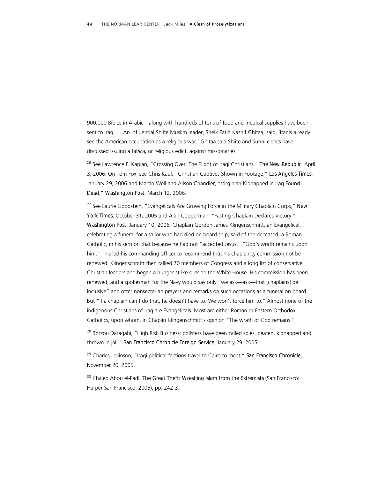900,000 Bibles in Arabic—along with hundreds of tons of food and medical supplies have been sent to Iraq. … An influential Shiite Muslim leader, Sheik Fatih Kashif Ghitaa, said, 'Iraqis already see the American occupation as a religious war.' Ghitaa said Shiite and Sunni clerics have discussed issuing a *fatwa,* or religious edict, against missionaries."

26 See Lawrence F. Kaplan, "Crossing Over, The Plight of Iraqi Christians," *The New Republic,* April 3, 2006*.* On Tom Fox, see Chris Kaul, "Christian Captives Shown in Footage," *Los Angeles Times*, January 29, 2006 and Martin Weil and Alison Chandler, "Virginian Kidnapped in Iraq Found Dead," *Washington Post,* March 12, 2006.

27 See Laurie Goodstein, "Evangelicals Are Growing Force in the Military Chaplain Corps," *New York Times*, October 31, 2005 and Alan Cooperman, "Fasting Chaplain Declares Victory," *Washington Post,* January 10, 2006. Chaplain Gordon James Klingenschmitt, an Evangelical, celebrating a funeral for a sailor who had died on board ship, said of the deceased, a Roman Catholic, in his sermon that because he had not "accepted Jesus," "God's wrath remains upon him." This led his commanding officer to recommend that his chaplaincy commission not be renewed. Klingenschmitt then rallied 70 members of Congress and a long list of conservative Christian leaders and began a hunger strike outside the White House. His commission has been renewed, and a spokesman for the Navy would say only "we ask—ask—that [chaplains] be inclusive" and offer nonsectarian prayers and remarks on such occasions as a funeral on board. But "If a chaplain can't do that, he doesn't have to. We won't force him to." Almost none of the indigenous Christians of Iraq are Evangelicals. Most are either Roman or Eastern Orthodox Catholics, upon whom, in Chaplin Klingenschmitt's opinion "The wrath of God remains."

<sup>28</sup> Borzou Daragahi, "High Risk Business: pollsters have been called spies, beaten, kidnapped and thrown in jail," *San Francisco Chronicle Foreign Service*, January 29, 2005.

29 Charles Levinson, "Iraqi political factions travel to Cairo to meet," *San Francisco Chronicle,*  November 20, 2005.

30 Khaled Abou el-Fadl, *The Great Theft: Wrestling Islam from the Extremists* (San Francisco: Harper San Francisco, 2005), pp. 242-3.